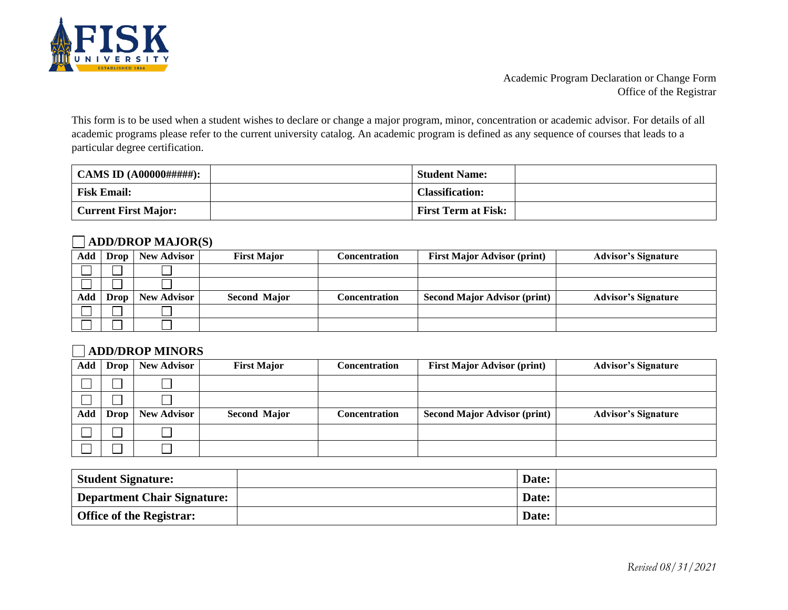

Academic Program Declaration or Change Form Office of the Registrar

This form is to be used when a student wishes to declare or change a major program, minor, concentration or academic advisor. For details of all academic programs please refer to the current university catalog. An academic program is defined as any sequence of courses that leads to a particular degree certification.

|                             | <b>Student Name:</b>       |  |
|-----------------------------|----------------------------|--|
| <b>Fisk Email:</b>          | <b>Classification:</b>     |  |
| <b>Current First Major:</b> | <b>First Term at Fisk:</b> |  |

## **ADD/DROP MAJOR(S)**

|     | Add Drop | <b>New Advisor</b> | <b>First Major</b>  | Concentration | <b>First Major Advisor (print)</b>  | <b>Advisor's Signature</b> |
|-----|----------|--------------------|---------------------|---------------|-------------------------------------|----------------------------|
|     |          |                    |                     |               |                                     |                            |
|     |          |                    |                     |               |                                     |                            |
| Add | Drop     | <b>New Advisor</b> | <b>Second Major</b> | Concentration | <b>Second Major Advisor (print)</b> | <b>Advisor's Signature</b> |
|     |          |                    |                     |               |                                     |                            |
|     |          |                    |                     |               |                                     |                            |

## **ADD/DROP MINORS**

|     | Add Drop    | <b>New Advisor</b> | <b>First Major</b>  | <b>Concentration</b> | <b>First Major Advisor (print)</b>  | <b>Advisor's Signature</b> |
|-----|-------------|--------------------|---------------------|----------------------|-------------------------------------|----------------------------|
|     |             |                    |                     |                      |                                     |                            |
|     |             |                    |                     |                      |                                     |                            |
|     |             |                    |                     |                      |                                     |                            |
| Add | <b>Drop</b> | <b>New Advisor</b> | <b>Second Major</b> | <b>Concentration</b> | <b>Second Major Advisor (print)</b> | <b>Advisor's Signature</b> |
|     |             |                    |                     |                      |                                     |                            |

| <b>Student Signature:</b>       | Date: |  |
|---------------------------------|-------|--|
| Department Chair Signature:     | Date: |  |
| <b>Office of the Registrar:</b> | Date: |  |